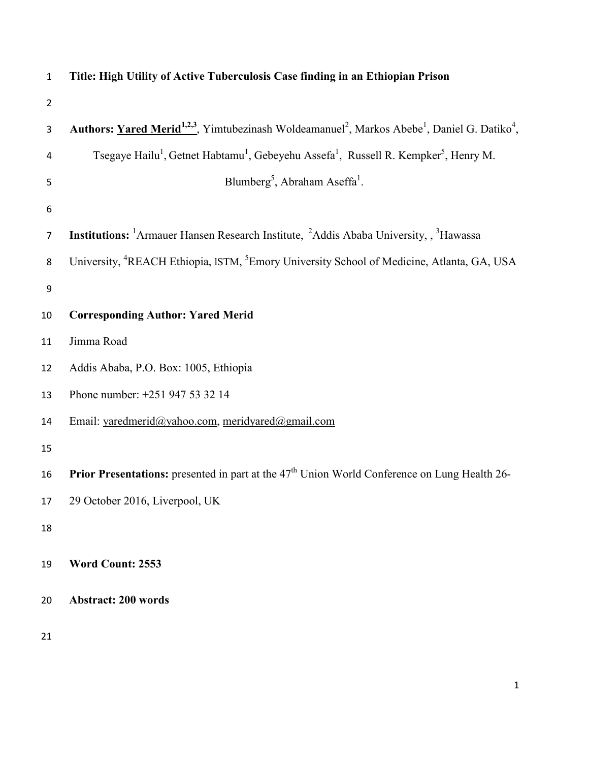| $\mathbf{1}$   | Title: High Utility of Active Tuberculosis Case finding in an Ethiopian Prison                                                                |
|----------------|-----------------------------------------------------------------------------------------------------------------------------------------------|
| $\overline{2}$ |                                                                                                                                               |
| $\mathbf{3}$   | Authors: Yared Merid <sup>1,2,3</sup> , Yimtubezinash Woldeamanuel <sup>2</sup> , Markos Abebe <sup>1</sup> , Daniel G. Datiko <sup>4</sup> , |
| 4              | Tsegaye Hailu <sup>1</sup> , Getnet Habtamu <sup>1</sup> , Gebeyehu Assefa <sup>1</sup> , Russell R. Kempker <sup>5</sup> , Henry M.          |
| 5              | Blumberg <sup>5</sup> , Abraham Aseffa <sup>1</sup> .                                                                                         |
| 6              |                                                                                                                                               |
| $\overline{7}$ | <b>Institutions:</b> <sup>1</sup> Armauer Hansen Research Institute, <sup>2</sup> Addis Ababa University, <sup>3</sup> Hawassa                |
| 8              | University, <sup>4</sup> REACH Ethiopia, ISTM, <sup>5</sup> Emory University School of Medicine, Atlanta, GA, USA                             |
| 9              |                                                                                                                                               |
| 10             | <b>Corresponding Author: Yared Merid</b>                                                                                                      |
| 11             | Jimma Road                                                                                                                                    |
| 12             | Addis Ababa, P.O. Box: 1005, Ethiopia                                                                                                         |
| 13             | Phone number: +251 947 53 32 14                                                                                                               |
| 14             | Email: yaredmerid@yahoo.com, meridyared@gmail.com                                                                                             |
| 15             |                                                                                                                                               |
| 16             | Prior Presentations: presented in part at the 47 <sup>th</sup> Union World Conference on Lung Health 26-                                      |
| 17             | 29 October 2016, Liverpool, UK                                                                                                                |
| 18             |                                                                                                                                               |
| 19             | Word Count: 2553                                                                                                                              |
| 20             | <b>Abstract: 200 words</b>                                                                                                                    |
| 21             |                                                                                                                                               |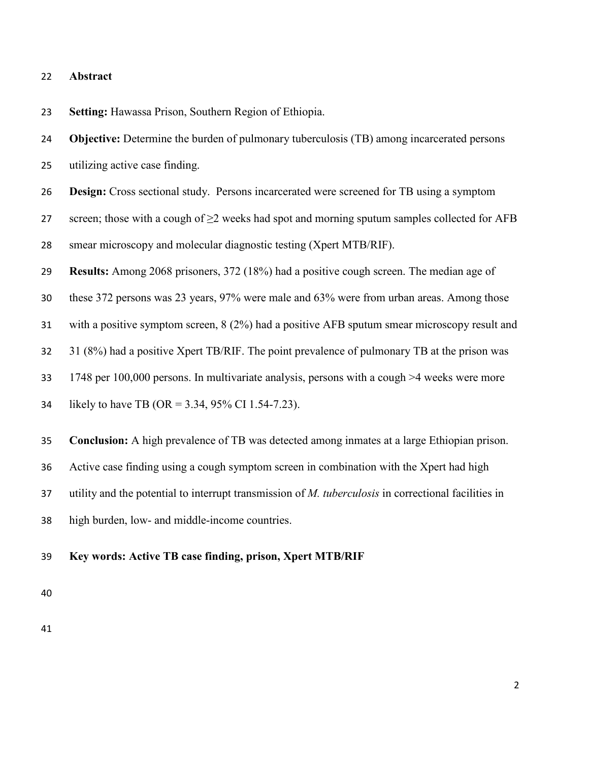## **Abstract**

**Setting:** Hawassa Prison, Southern Region of Ethiopia.

**Objective:** Determine the burden of pulmonary tuberculosis (TB) among incarcerated persons

utilizing active case finding.

**Design:** Cross sectional study. Persons incarcerated were screened for TB using a symptom

27 screen; those with a cough of  $\geq$  weeks had spot and morning sputum samples collected for AFB

smear microscopy and molecular diagnostic testing (Xpert MTB/RIF).

**Results:** Among 2068 prisoners, 372 (18%) had a positive cough screen. The median age of

these 372 persons was 23 years, 97% were male and 63% were from urban areas. Among those

with a positive symptom screen, 8 (2%) had a positive AFB sputum smear microscopy result and

31 (8%) had a positive Xpert TB/RIF. The point prevalence of pulmonary TB at the prison was

1748 per 100,000 persons. In multivariate analysis, persons with a cough >4 weeks were more

likely to have TB (OR = 3.34, 95% CI 1.54-7.23).

**Conclusion:** A high prevalence of TB was detected among inmates at a large Ethiopian prison.

Active case finding using a cough symptom screen in combination with the Xpert had high

utility and the potential to interrupt transmission of *M. tuberculosis* in correctional facilities in

high burden, low- and middle-income countries.

**Key words: Active TB case finding, prison, Xpert MTB/RIF**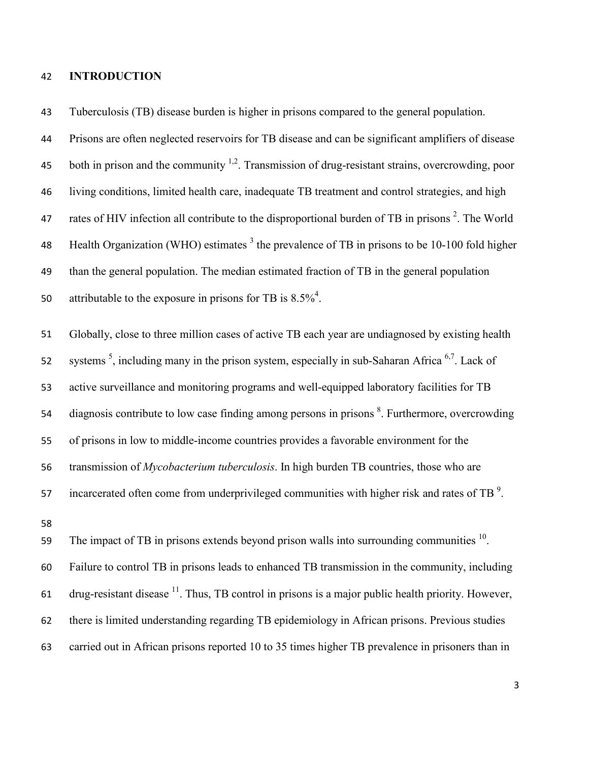# **INTRODUCTION**

 Tuberculosis (TB) disease burden is higher in prisons compared to the general population. Prisons are often neglected reservoirs for TB disease and can be significant amplifiers of disease 45 both in prison and the community  $^{1,2}$ . Transmission of drug-resistant strains, overcrowding, poor living conditions, limited health care, inadequate TB treatment and control strategies, and high 47 rates of HIV infection all contribute to the disproportional burden of TB in prisons . The World 48 Health Organization (WHO) estimates the prevalence of TB in prisons to be 10-100 fold higher than the general population. The median estimated fraction of TB in the general population 50 attributable to the exposure in prisons for TB is  $8.5\%$ <sup>4</sup>. Globally, close to three million cases of active TB each year are undiagnosed by existing health 52 systems  $<sup>5</sup>$ , including many in the prison system, especially in sub-Saharan Africa  $<sup>6,7</sup>$ . Lack of</sup></sup> active surveillance and monitoring programs and well-equipped laboratory facilities for TB 54 diagnosis contribute to low case finding among persons in prisons  $\delta$ . Furthermore, overcrowding of prisons in low to middle-income countries provides a favorable environment for the transmission of *Mycobacterium tuberculosis*. In high burden TB countries, those who are  $\mu$  incarcerated often come from underprivileged communities with higher risk and rates of TB<sup>9</sup>.

The impact of TB in prisons extends beyond prison walls into surrounding communities . Failure to control TB in prisons leads to enhanced TB transmission in the community, including 61 drug-resistant disease  $\frac{11}{1}$ . Thus, TB control in prisons is a major public health priority. However, there is limited understanding regarding TB epidemiology in African prisons. Previous studies carried out in African prisons reported 10 to 35 times higher TB prevalence in prisoners than in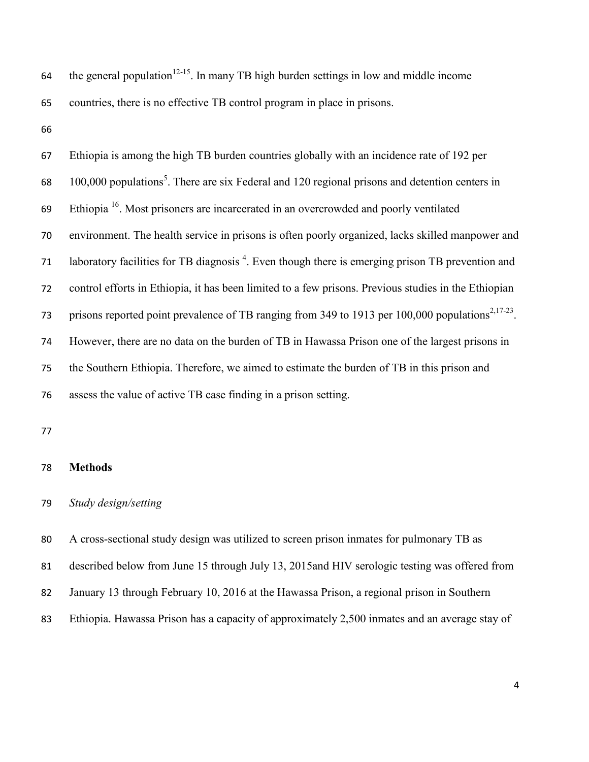64 the general population<sup>12-15</sup>. In many TB high burden settings in low and middle income countries, there is no effective TB control program in place in prisons.

 Ethiopia is among the high TB burden countries globally with an incidence rate of 192 per  $100,000$  populations<sup>5</sup>. There are six Federal and 120 regional prisons and detention centers in Ethiopia  $^{16}$ . Most prisoners are incarcerated in an overcrowded and poorly ventilated environment. The health service in prisons is often poorly organized, lacks skilled manpower and 71 laboratory facilities for TB diagnosis . Even though there is emerging prison TB prevention and control efforts in Ethiopia, it has been limited to a few prisons. Previous studies in the Ethiopian prisons reported point prevalence of TB ranging from 349 to 1913 per 100,000 populations<sup>2,17-23</sup>. However, there are no data on the burden of TB in Hawassa Prison one of the largest prisons in the Southern Ethiopia. Therefore, we aimed to estimate the burden of TB in this prison and assess the value of active TB case finding in a prison setting.

## **Methods**

### *Study design/setting*

A cross-sectional study design was utilized to screen prison inmates for pulmonary TB as

described below from June 15 through July 13, 2015and HIV serologic testing was offered from

- January 13 through February 10, 2016 at the Hawassa Prison, a regional prison in Southern
- Ethiopia. Hawassa Prison has a capacity of approximately 2,500 inmates and an average stay of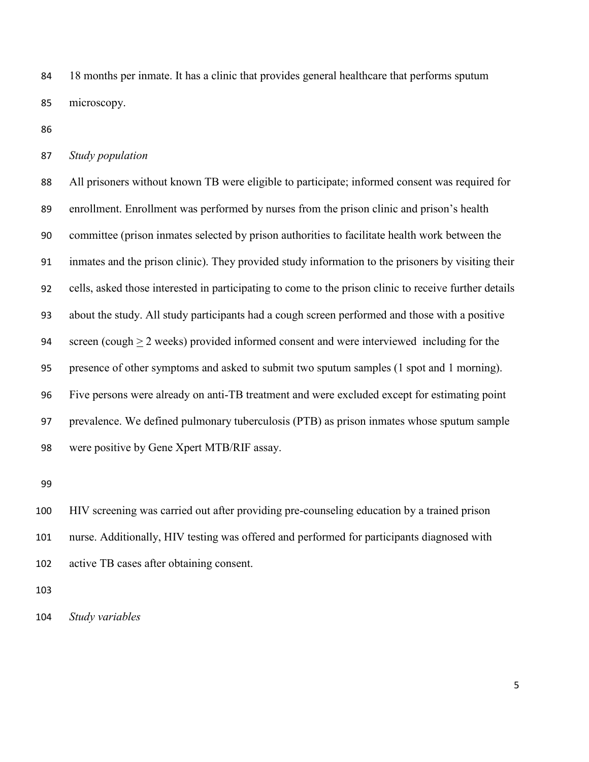18 months per inmate. It has a clinic that provides general healthcare that performs sputum microscopy.

## *Study population*

 All prisoners without known TB were eligible to participate; informed consent was required for enrollment. Enrollment was performed by nurses from the prison clinic and prison's health committee (prison inmates selected by prison authorities to facilitate health work between the inmates and the prison clinic). They provided study information to the prisoners by visiting their cells, asked those interested in participating to come to the prison clinic to receive further details about the study. All study participants had a cough screen performed and those with a positive screen (cough > 2 weeks) provided informed consent and were interviewed including for the presence of other symptoms and asked to submit two sputum samples (1 spot and 1 morning). Five persons were already on anti-TB treatment and were excluded except for estimating point prevalence. We defined pulmonary tuberculosis (PTB) as prison inmates whose sputum sample were positive by Gene Xpert MTB/RIF assay.

 HIV screening was carried out after providing pre-counseling education by a trained prison nurse. Additionally, HIV testing was offered and performed for participants diagnosed with active TB cases after obtaining consent.

*Study variables*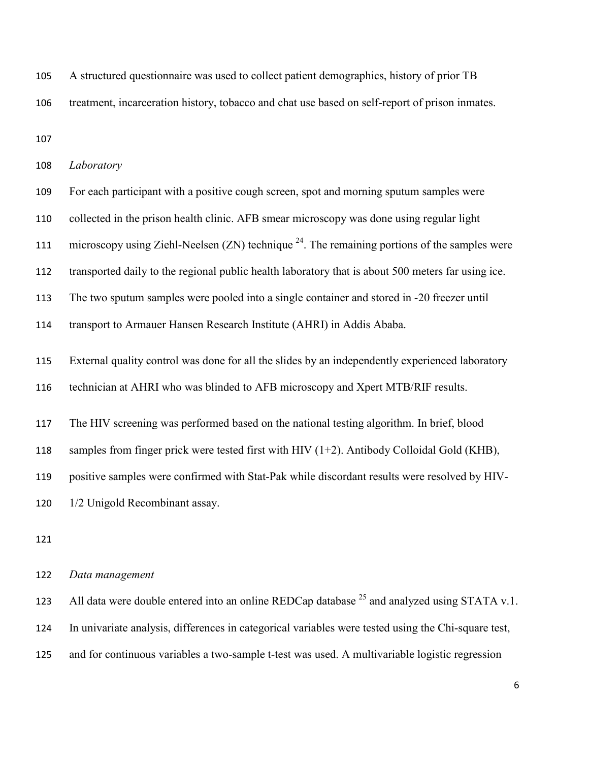A structured questionnaire was used to collect patient demographics, history of prior TB

treatment, incarceration history, tobacco and chat use based on self-report of prison inmates.

| 108 | Laboratory                                                                                           |
|-----|------------------------------------------------------------------------------------------------------|
| 109 | For each participant with a positive cough screen, spot and morning sputum samples were              |
| 110 | collected in the prison health clinic. AFB smear microscopy was done using regular light             |
| 111 | microscopy using Ziehl-Neelsen $(ZN)$ technique $^{24}$ . The remaining portions of the samples were |
| 112 | transported daily to the regional public health laboratory that is about 500 meters far using ice.   |
| 113 | The two sputum samples were pooled into a single container and stored in -20 freezer until           |
| 114 | transport to Armauer Hansen Research Institute (AHRI) in Addis Ababa.                                |
| 115 | External quality control was done for all the slides by an independently experienced laboratory      |
| 116 | technician at AHRI who was blinded to AFB microscopy and Xpert MTB/RIF results.                      |
| 117 | The HIV screening was performed based on the national testing algorithm. In brief, blood             |
| 118 | samples from finger prick were tested first with HIV $(1+2)$ . Antibody Colloidal Gold (KHB),        |
| 119 | positive samples were confirmed with Stat-Pak while discordant results were resolved by HIV-         |
| 120 | 1/2 Unigold Recombinant assay.                                                                       |
|     |                                                                                                      |

# *Data management*

123 All data were double entered into an online REDCap database  $^{25}$  and analyzed using STATA v.1. In univariate analysis, differences in categorical variables were tested using the Chi-square test, and for continuous variables a two-sample t-test was used. A multivariable logistic regression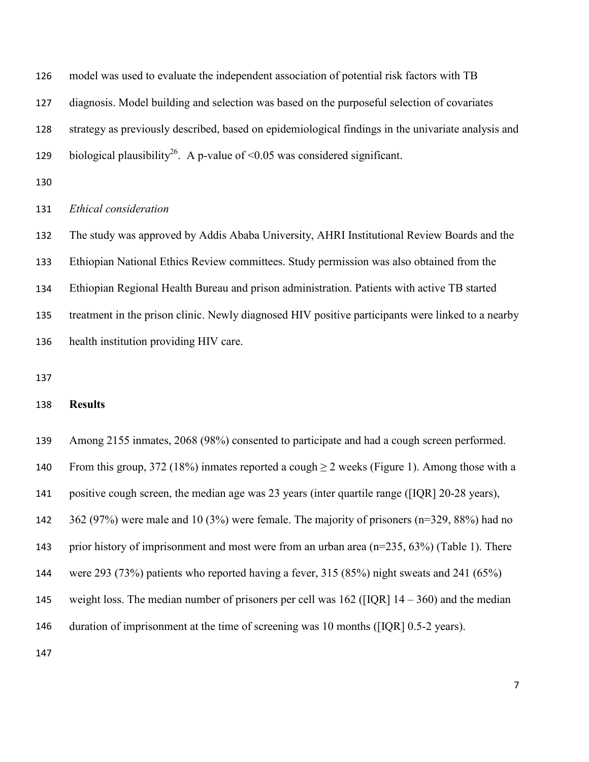model was used to evaluate the independent association of potential risk factors with TB diagnosis. Model building and selection was based on the purposeful selection of covariates strategy as previously described, based on epidemiological findings in the univariate analysis and 129 biological plausibility<sup>26</sup>. A p-value of <0.05 was considered significant.

## *Ethical consideration*

 The study was approved by Addis Ababa University, AHRI Institutional Review Boards and the Ethiopian National Ethics Review committees. Study permission was also obtained from the Ethiopian Regional Health Bureau and prison administration. Patients with active TB started treatment in the prison clinic. Newly diagnosed HIV positive participants were linked to a nearby health institution providing HIV care.

## **Results**

Among 2155 inmates, 2068 (98%) consented to participate and had a cough screen performed.

140 From this group, 372 (18%) inmates reported a cough  $\geq$  2 weeks (Figure 1). Among those with a

positive cough screen, the median age was 23 years (inter quartile range ([IQR] 20-28 years),

362 (97%) were male and 10 (3%) were female. The majority of prisoners (n=329, 88%) had no

prior history of imprisonment and most were from an urban area (n=235, 63%) (Table 1). There

were 293 (73%) patients who reported having a fever, 315 (85%) night sweats and 241 (65%)

145 weight loss. The median number of prisoners per cell was ([IQR]  $14 - 360$ ) and the median

146 duration of imprisonment at the time of screening was 10 months ([IQR] 0.5-2 years).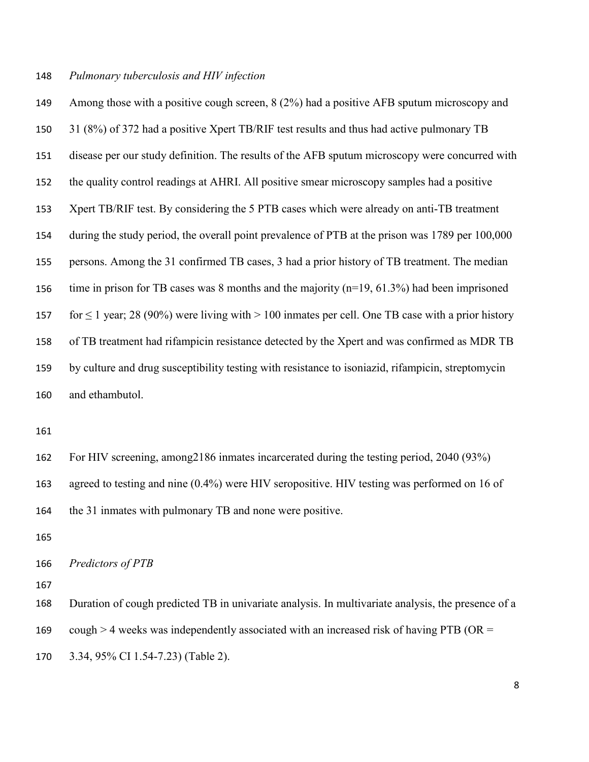### *Pulmonary tuberculosis and HIV infection*

 Among those with a positive cough screen, 8 (2%) had a positive AFB sputum microscopy and 31 (8%) of 372 had a positive Xpert TB/RIF test results and thus had active pulmonary TB disease per our study definition. The results of the AFB sputum microscopy were concurred with the quality control readings at AHRI. All positive smear microscopy samples had a positive Xpert TB/RIF test. By considering the 5 PTB cases which were already on anti-TB treatment during the study period, the overall point prevalence of PTB at the prison was 1789 per 100,000 persons. Among the 31 confirmed TB cases, 3 had a prior history of TB treatment. The median time in prison for TB cases was 8 months and the majority (n=19, 61.3%) had been imprisoned 157 for  $\leq 1$  year; 28 (90%) were living with  $> 100$  inmates per cell. One TB case with a prior history of TB treatment had rifampicin resistance detected by the Xpert and was confirmed as MDR TB by culture and drug susceptibility testing with resistance to isoniazid, rifampicin, streptomycin and ethambutol.

 For HIV screening, among2186 inmates incarcerated during the testing period, 2040 (93%) agreed to testing and nine (0.4%) were HIV seropositive. HIV testing was performed on 16 of the 31 inmates with pulmonary TB and none were positive.

*Predictors of PTB*

Duration of cough predicted TB in univariate analysis. In multivariate analysis, the presence of a

169 cough  $>$  4 weeks was independently associated with an increased risk of having PTB (OR =

3.34, 95% CI 1.54-7.23) (Table 2).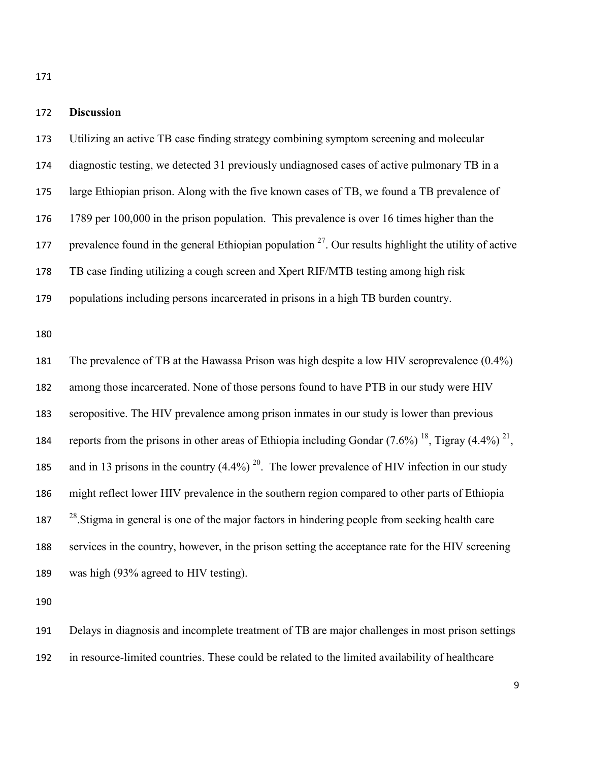## **Discussion**

 diagnostic testing, we detected 31 previously undiagnosed cases of active pulmonary TB in a large Ethiopian prison. Along with the five known cases of TB, we found a TB prevalence of 1789 per 100,000 in the prison population. This prevalence is over 16 times higher than the prevalence found in the general Ethiopian population  $2^7$ . Our results highlight the utility of active TB case finding utilizing a cough screen and Xpert RIF/MTB testing among high risk populations including persons incarcerated in prisons in a high TB burden country. The prevalence of TB at the Hawassa Prison was high despite a low HIV seroprevalence (0.4%)

Utilizing an active TB case finding strategy combining symptom screening and molecular

 among those incarcerated. None of those persons found to have PTB in our study were HIV seropositive. The HIV prevalence among prison inmates in our study is lower than previous 184 reports from the prisons in other areas of Ethiopia including Gondar  $(7.6\%)$  <sup>18</sup>, Tigray (4.4%) <sup>21</sup>, 185 and in 13 prisons in the country  $(4.4\%)$  <sup>20</sup>. The lower prevalence of HIV infection in our study might reflect lower HIV prevalence in the southern region compared to other parts of Ethiopia  $28 \times 28$  Stigma in general is one of the major factors in hindering people from seeking health care services in the country, however, in the prison setting the acceptance rate for the HIV screening was high (93% agreed to HIV testing).

 Delays in diagnosis and incomplete treatment of TB are major challenges in most prison settings in resource-limited countries. These could be related to the limited availability of healthcare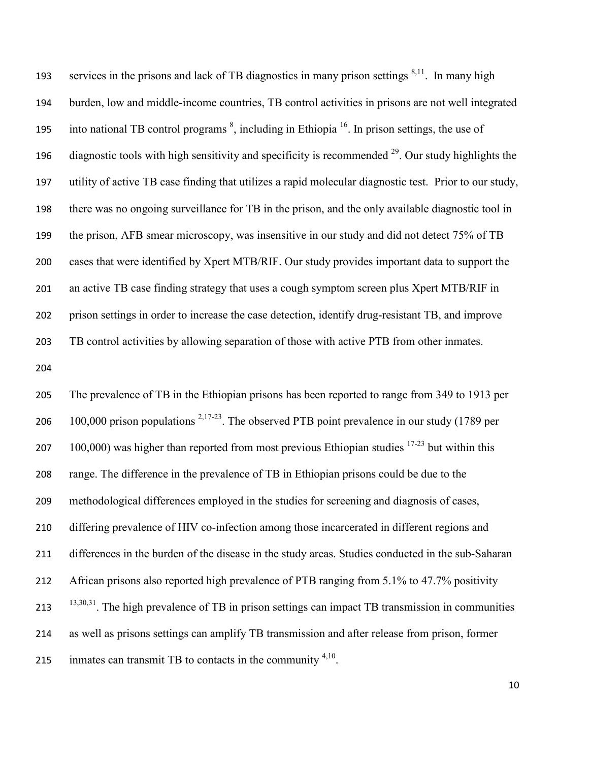services in the prisons and lack of TB diagnostics in many prison settings  $8,11$ . In many high burden, low and middle-income countries, TB control activities in prisons are not well integrated 195 into national TB control programs  $\delta$ , including in Ethiopia<sup>16</sup>. In prison settings, the use of 196 diagnostic tools with high sensitivity and specificity is recommended  $^{29}$ . Our study highlights the utility of active TB case finding that utilizes a rapid molecular diagnostic test. Prior to our study, there was no ongoing surveillance for TB in the prison, and the only available diagnostic tool in the prison, AFB smear microscopy, was insensitive in our study and did not detect 75% of TB cases that were identified by Xpert MTB/RIF. Our study provides important data to support the 201 an active TB case finding strategy that uses a cough symptom screen plus Xpert MTB/RIF in prison settings in order to increase the case detection, identify drug-resistant TB, and improve TB control activities by allowing separation of those with active PTB from other inmates.

 The prevalence of TB in the Ethiopian prisons has been reported to range from 349 to 1913 per 206 100,000 prison populations  $^{2,17-23}$ . The observed PTB point prevalence in our study (1789 per 207 100,000) was higher than reported from most previous Ethiopian studies  $17-23$  but within this range. The difference in the prevalence of TB in Ethiopian prisons could be due to the methodological differences employed in the studies for screening and diagnosis of cases, differing prevalence of HIV co-infection among those incarcerated in different regions and differences in the burden of the disease in the study areas. Studies conducted in the sub-Saharan African prisons also reported high prevalence of PTB ranging from 5.1% to 47.7% positivity  $13,30,31$ . The high prevalence of TB in prison settings can impact TB transmission in communities as well as prisons settings can amplify TB transmission and after release from prison, former 215 inmates can transmit TB to contacts in the community  $4,10$ .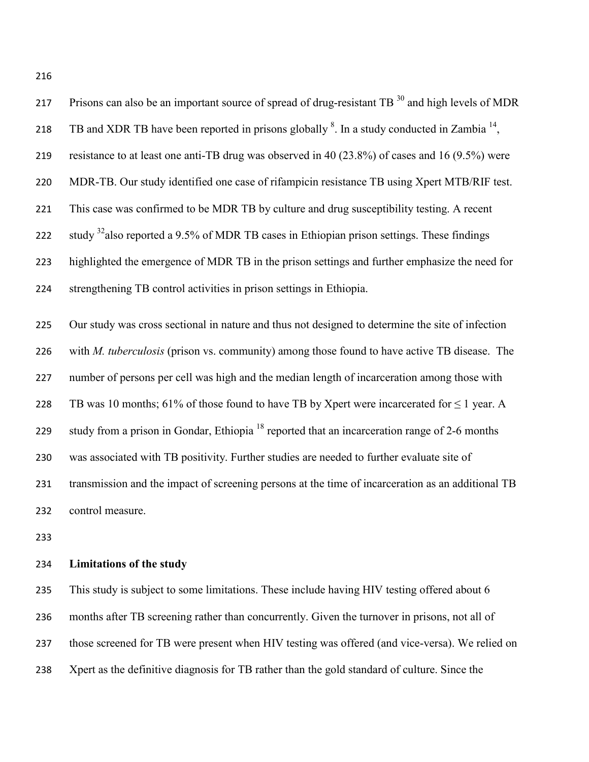| 217 | Prisons can also be an important source of spread of drug-resistant TB <sup>30</sup> and high levels of MDR |
|-----|-------------------------------------------------------------------------------------------------------------|
| 218 | TB and XDR TB have been reported in prisons globally $8$ . In a study conducted in Zambia $^{14}$ ,         |
| 219 | resistance to at least one anti-TB drug was observed in 40 (23.8%) of cases and 16 (9.5%) were              |
| 220 | MDR-TB. Our study identified one case of rifampicin resistance TB using Xpert MTB/RIF test.                 |
| 221 | This case was confirmed to be MDR TB by culture and drug susceptibility testing. A recent                   |
| 222 | study <sup>32</sup> also reported a 9.5% of MDR TB cases in Ethiopian prison settings. These findings       |
| 223 | highlighted the emergence of MDR TB in the prison settings and further emphasize the need for               |
| 224 | strengthening TB control activities in prison settings in Ethiopia.                                         |
|     |                                                                                                             |
| 225 | Our study was cross sectional in nature and thus not designed to determine the site of infection            |
| 226 | with <i>M. tuberculosis</i> (prison vs. community) among those found to have active TB disease. The         |
| 227 | number of persons per cell was high and the median length of incarceration among those with                 |
|     |                                                                                                             |

228 TB was 10 months; 61% of those found to have TB by Xpert were incarcerated for  $\leq$  1 year. A 229 study from a prison in Gondar, Ethiopia<sup>18</sup> reported that an incarceration range of 2-6 months was associated with TB positivity. Further studies are needed to further evaluate site of transmission and the impact of screening persons at the time of incarceration as an additional TB control measure.

# **Limitations of the study**

 This study is subject to some limitations. These include having HIV testing offered about 6 months after TB screening rather than concurrently. Given the turnover in prisons, not all of those screened for TB were present when HIV testing was offered (and vice-versa). We relied on Xpert as the definitive diagnosis for TB rather than the gold standard of culture. Since the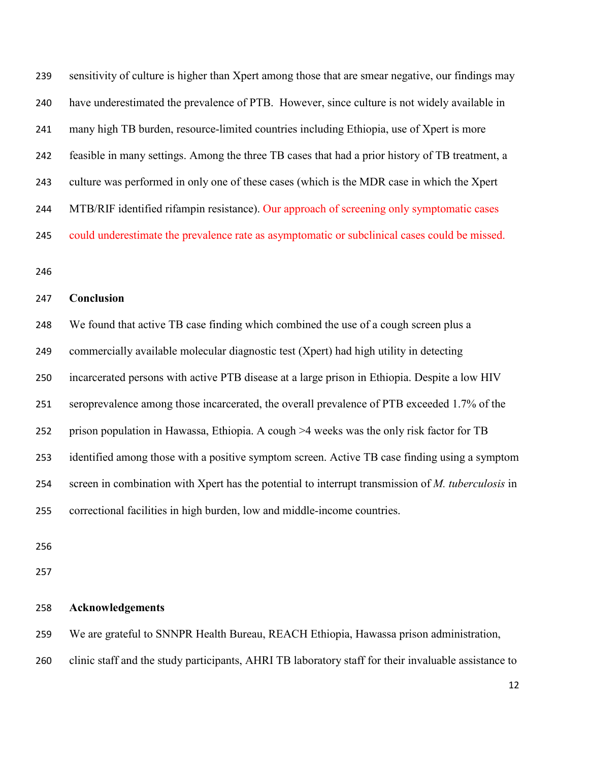sensitivity of culture is higher than Xpert among those that are smear negative, our findings may have underestimated the prevalence of PTB. However, since culture is not widely available in many high TB burden, resource-limited countries including Ethiopia, use of Xpert is more feasible in many settings. Among the three TB cases that had a prior history of TB treatment, a culture was performed in only one of these cases (which is the MDR case in which the Xpert 244 MTB/RIF identified rifampin resistance). Our approach of screening only symptomatic cases could underestimate the prevalence rate as asymptomatic or subclinical cases could be missed.

### **Conclusion**

 We found that active TB case finding which combined the use of a cough screen plus a commercially available molecular diagnostic test (Xpert) had high utility in detecting incarcerated persons with active PTB disease at a large prison in Ethiopia. Despite a low HIV seroprevalence among those incarcerated, the overall prevalence of PTB exceeded 1.7% of the prison population in Hawassa, Ethiopia. A cough >4 weeks was the only risk factor for TB identified among those with a positive symptom screen. Active TB case finding using a symptom screen in combination with Xpert has the potential to interrupt transmission of *M. tuberculosis* in correctional facilities in high burden, low and middle-income countries.

**Acknowledgements**

We are grateful to SNNPR Health Bureau, REACH Ethiopia, Hawassa prison administration,

clinic staff and the study participants, AHRI TB laboratory staff for their invaluable assistance to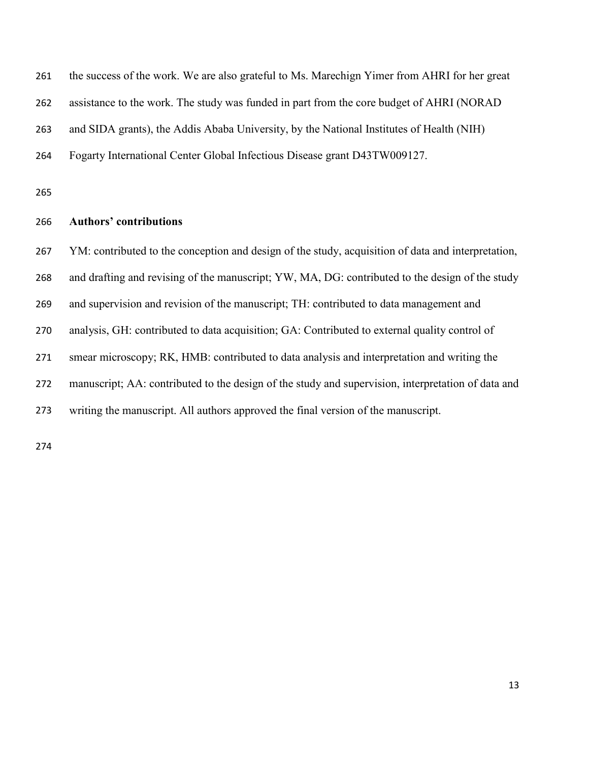| 261 | the success of the work. We are also grateful to Ms. Marechign Yimer from AHRI for her great       |
|-----|----------------------------------------------------------------------------------------------------|
| 262 | assistance to the work. The study was funded in part from the core budget of AHRI (NORAD           |
| 263 | and SIDA grants), the Addis Ababa University, by the National Institutes of Health (NIH)           |
| 264 | Fogarty International Center Global Infectious Disease grant D43TW009127.                          |
| 265 |                                                                                                    |
| 266 | <b>Authors' contributions</b>                                                                      |
| 267 | YM: contributed to the conception and design of the study, acquisition of data and interpretation, |
| 268 | and drafting and revising of the manuscript; YW, MA, DG: contributed to the design of the study    |
| 269 | and supervision and revision of the manuscript; TH: contributed to data management and             |
| 270 | analysis, GH: contributed to data acquisition; GA: Contributed to external quality control of      |
| 271 | smear microscopy; RK, HMB: contributed to data analysis and interpretation and writing the         |
| 272 | manuscript; AA: contributed to the design of the study and supervision, interpretation of data and |
| 273 | writing the manuscript. All authors approved the final version of the manuscript.                  |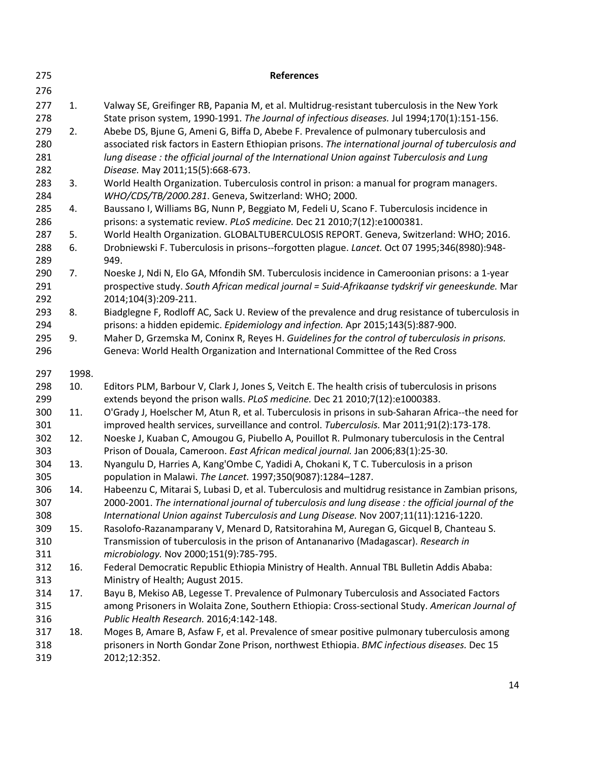| 275        |       | <b>References</b>                                                                                                                                                                         |
|------------|-------|-------------------------------------------------------------------------------------------------------------------------------------------------------------------------------------------|
| 276        |       |                                                                                                                                                                                           |
| 277        | 1.    | Valway SE, Greifinger RB, Papania M, et al. Multidrug-resistant tuberculosis in the New York                                                                                              |
| 278        |       | State prison system, 1990-1991. The Journal of infectious diseases. Jul 1994;170(1):151-156.                                                                                              |
| 279        | 2.    | Abebe DS, Bjune G, Ameni G, Biffa D, Abebe F. Prevalence of pulmonary tuberculosis and                                                                                                    |
| 280        |       | associated risk factors in Eastern Ethiopian prisons. The international journal of tuberculosis and                                                                                       |
| 281        |       | lung disease : the official journal of the International Union against Tuberculosis and Lung                                                                                              |
| 282        |       | Disease. May 2011;15(5):668-673.                                                                                                                                                          |
| 283        | 3.    | World Health Organization. Tuberculosis control in prison: a manual for program managers.                                                                                                 |
| 284        |       | WHO/CDS/TB/2000.281. Geneva, Switzerland: WHO; 2000.                                                                                                                                      |
| 285        | 4.    | Baussano I, Williams BG, Nunn P, Beggiato M, Fedeli U, Scano F. Tuberculosis incidence in                                                                                                 |
| 286        |       | prisons: a systematic review. PLoS medicine. Dec 21 2010;7(12):e1000381.                                                                                                                  |
| 287        | 5.    | World Health Organization. GLOBALTUBERCULOSIS REPORT. Geneva, Switzerland: WHO; 2016.                                                                                                     |
| 288<br>289 | 6.    | Drobniewski F. Tuberculosis in prisons--forgotten plague. Lancet. Oct 07 1995;346(8980):948-<br>949.                                                                                      |
| 290        | 7.    | Noeske J, Ndi N, Elo GA, Mfondih SM. Tuberculosis incidence in Cameroonian prisons: a 1-year                                                                                              |
| 291        |       | prospective study. South African medical journal = Suid-Afrikaanse tydskrif vir geneeskunde. Mar                                                                                          |
| 292        |       | 2014;104(3):209-211.                                                                                                                                                                      |
| 293        | 8.    | Biadglegne F, Rodloff AC, Sack U. Review of the prevalence and drug resistance of tuberculosis in                                                                                         |
| 294        |       | prisons: a hidden epidemic. Epidemiology and infection. Apr 2015;143(5):887-900.                                                                                                          |
| 295        | 9.    | Maher D, Grzemska M, Coninx R, Reyes H. Guidelines for the control of tuberculosis in prisons.                                                                                            |
| 296        |       | Geneva: World Health Organization and International Committee of the Red Cross                                                                                                            |
| 297        | 1998. |                                                                                                                                                                                           |
| 298        | 10.   | Editors PLM, Barbour V, Clark J, Jones S, Veitch E. The health crisis of tuberculosis in prisons                                                                                          |
| 299        |       | extends beyond the prison walls. PLoS medicine. Dec 21 2010;7(12):e1000383.                                                                                                               |
| 300        | 11.   | O'Grady J, Hoelscher M, Atun R, et al. Tuberculosis in prisons in sub-Saharan Africa--the need for                                                                                        |
| 301        |       | improved health services, surveillance and control. Tuberculosis. Mar 2011;91(2):173-178.                                                                                                 |
| 302        | 12.   | Noeske J, Kuaban C, Amougou G, Piubello A, Pouillot R. Pulmonary tuberculosis in the Central                                                                                              |
| 303        |       | Prison of Douala, Cameroon. East African medical journal. Jan 2006;83(1):25-30.                                                                                                           |
| 304        | 13.   | Nyangulu D, Harries A, Kang'Ombe C, Yadidi A, Chokani K, T C. Tuberculosis in a prison                                                                                                    |
| 305        |       | population in Malawi. The Lancet. 1997;350(9087):1284-1287.                                                                                                                               |
| 306        | 14.   | Habeenzu C, Mitarai S, Lubasi D, et al. Tuberculosis and multidrug resistance in Zambian prisons,                                                                                         |
| 307        |       | 2000-2001. The international journal of tuberculosis and lung disease : the official journal of the                                                                                       |
| 308        |       | International Union against Tuberculosis and Lung Disease. Nov 2007;11(11):1216-1220.                                                                                                     |
| 309        | 15.   | Rasolofo-Razanamparany V, Menard D, Ratsitorahina M, Auregan G, Gicquel B, Chanteau S.                                                                                                    |
| 310        |       | Transmission of tuberculosis in the prison of Antananarivo (Madagascar). Research in                                                                                                      |
| 311        |       | microbiology. Nov 2000;151(9):785-795.                                                                                                                                                    |
| 312        | 16.   | Federal Democratic Republic Ethiopia Ministry of Health. Annual TBL Bulletin Addis Ababa:                                                                                                 |
| 313        |       | Ministry of Health; August 2015.                                                                                                                                                          |
| 314        | 17.   | Bayu B, Mekiso AB, Legesse T. Prevalence of Pulmonary Tuberculosis and Associated Factors                                                                                                 |
| 315        |       | among Prisoners in Wolaita Zone, Southern Ethiopia: Cross-sectional Study. American Journal of                                                                                            |
| 316        |       | Public Health Research. 2016;4:142-148.                                                                                                                                                   |
| 317<br>318 | 18.   | Moges B, Amare B, Asfaw F, et al. Prevalence of smear positive pulmonary tuberculosis among<br>prisoners in North Gondar Zone Prison, northwest Ethiopia. BMC infectious diseases. Dec 15 |
|            |       |                                                                                                                                                                                           |
| 319        |       | 2012;12:352.                                                                                                                                                                              |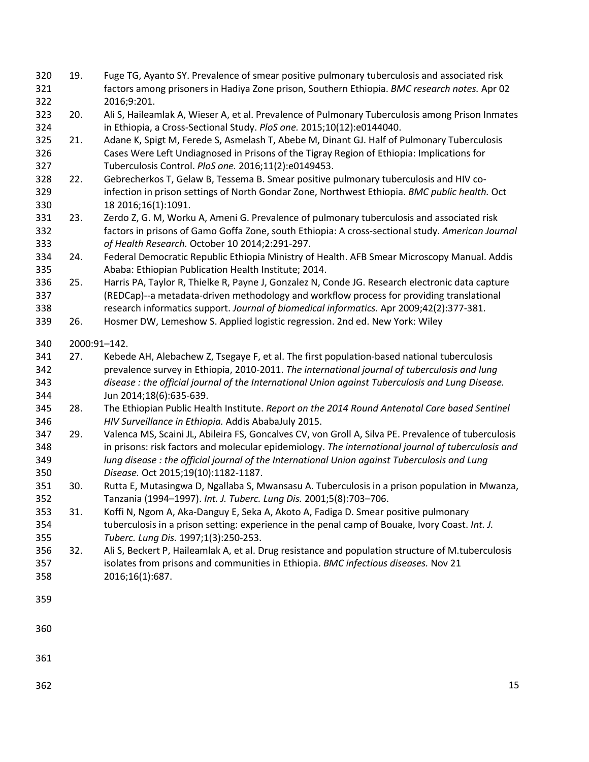- 19. Fuge TG, Ayanto SY. Prevalence of smear positive pulmonary tuberculosis and associated risk factors among prisoners in Hadiya Zone prison, Southern Ethiopia. *BMC research notes.* Apr 02 2016;9:201.
- 20. Ali S, Haileamlak A, Wieser A, et al. Prevalence of Pulmonary Tuberculosis among Prison Inmates in Ethiopia, a Cross-Sectional Study. *PloS one.* 2015;10(12):e0144040.
- 21. Adane K, Spigt M, Ferede S, Asmelash T, Abebe M, Dinant GJ. Half of Pulmonary Tuberculosis Cases Were Left Undiagnosed in Prisons of the Tigray Region of Ethiopia: Implications for Tuberculosis Control. *PloS one.* 2016;11(2):e0149453.
- 22. Gebrecherkos T, Gelaw B, Tessema B. Smear positive pulmonary tuberculosis and HIV co- infection in prison settings of North Gondar Zone, Northwest Ethiopia. *BMC public health.* Oct 18 2016;16(1):1091.
- 23. Zerdo Z, G. M, Worku A, Ameni G. Prevalence of pulmonary tuberculosis and associated risk factors in prisons of Gamo Goffa Zone, south Ethiopia: A cross-sectional study. *American Journal of Health Research.* October 10 2014;2:291-297.
- 24. Federal Democratic Republic Ethiopia Ministry of Health. AFB Smear Microscopy Manual. Addis Ababa: Ethiopian Publication Health Institute; 2014.
- 25. Harris PA, Taylor R, Thielke R, Payne J, Gonzalez N, Conde JG. Research electronic data capture (REDCap)--a metadata-driven methodology and workflow process for providing translational research informatics support. *Journal of biomedical informatics.* Apr 2009;42(2):377-381.
- 26. Hosmer DW, Lemeshow S. Applied logistic regression. 2nd ed. New York: Wiley

2000:91–142.

- 27. Kebede AH, Alebachew Z, Tsegaye F, et al. The first population-based national tuberculosis prevalence survey in Ethiopia, 2010-2011. *The international journal of tuberculosis and lung disease : the official journal of the International Union against Tuberculosis and Lung Disease.*  Jun 2014;18(6):635-639.
- 28. The Ethiopian Public Health Institute. *Report on the 2014 Round Antenatal Care based Sentinel HIV Surveillance in Ethiopia.* Addis AbabaJuly 2015.
- 29. Valenca MS, Scaini JL, Abileira FS, Goncalves CV, von Groll A, Silva PE. Prevalence of tuberculosis in prisons: risk factors and molecular epidemiology. *The international journal of tuberculosis and lung disease : the official journal of the International Union against Tuberculosis and Lung Disease.* Oct 2015;19(10):1182-1187.
- 30. Rutta E, Mutasingwa D, Ngallaba S, Mwansasu A. Tuberculosis in a prison population in Mwanza, Tanzania (1994–1997). *Int. J. Tuberc. Lung Dis.* 2001;5(8):703–706.
- 31. Koffi N, Ngom A, Aka-Danguy E, Seka A, Akoto A, Fadiga D. Smear positive pulmonary tuberculosis in a prison setting: experience in the penal camp of Bouake, Ivory Coast. *Int. J. Tuberc. Lung Dis.* 1997;1(3):250-253.
- 32. Ali S, Beckert P, Haileamlak A, et al. Drug resistance and population structure of M.tuberculosis isolates from prisons and communities in Ethiopia. *BMC infectious diseases.* Nov 21 2016;16(1):687.
- 
- 
-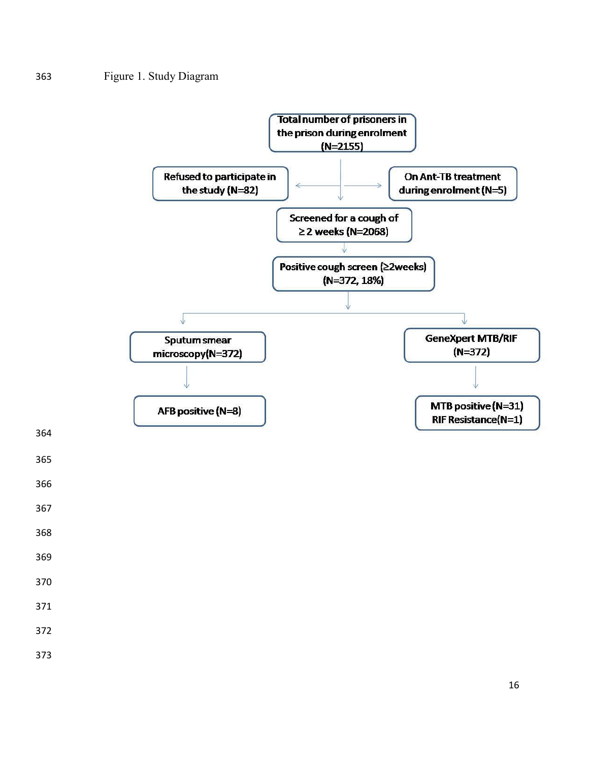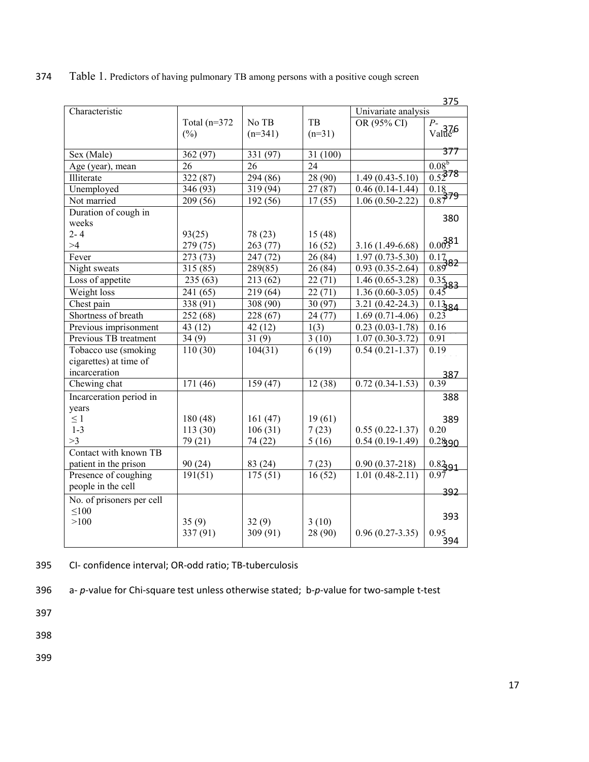|                           |                      |                      |           |                     | 375                      |
|---------------------------|----------------------|----------------------|-----------|---------------------|--------------------------|
| Characteristic            |                      |                      |           | Univariate analysis |                          |
|                           | Total $(n=372)$      | No TB                | <b>TB</b> | OR (95% CI)         | $P_{-}$                  |
|                           | $(\% )$              | $(n=341)$            | $(n=31)$  |                     | $\frac{1}{\text{Value}}$ |
|                           |                      |                      |           |                     | 377                      |
| Sex (Male)                | 362 (97)             | 331 (97)             | 31 (100)  |                     |                          |
| Age (year), mean          | 26                   | 26                   | 24        |                     | $0.08^{b}$               |
| Illiterate                | 322 (87)             | 294 (86)             | 28 (90)   | $1.49(0.43 - 5.10)$ | $0.52^{78}$              |
| Unemployed                | 346 (93)             | 319 (94)             | 27(87)    | $0.46(0.14-1.44)$   | 0.18                     |
| Not married               | 209 (56)             | 192 (56)             | 17(55)    | $1.06(0.50-2.22)$   | 0.8779                   |
| Duration of cough in      |                      |                      |           |                     | 380                      |
| weeks                     |                      |                      |           |                     |                          |
| $2 - 4$                   | 93(25)               | 78 (23)              | 15(48)    |                     |                          |
| >4                        | 279 (75)             | 263 (77)             | 16(52)    | $3.16(1.49-6.68)$   | 0.00381                  |
| Fever                     | 273 (73)             | 247(72)              | 26(84)    | $1.97(0.73 - 5.30)$ | 0.17                     |
| Night sweats              | 315(85)              | 289(85)              | 26(84)    | $0.93(0.35-2.64)$   | 0.8982                   |
| Loss of appetite          | 235(63)              | 213(62)              | 22(71)    | $1.46(0.65-3.28)$   | $\frac{0.35}{0.45}$ 83   |
| Weight loss               | 241 (65)             | 219(64)              | 22(71)    | $1.36(0.60-3.05)$   |                          |
| Chest pain                | 338 (91)             | 308 (90)             | 30 (97)   | $3.21(0.42 - 24.3)$ | 0.1384                   |
| Shortness of breath       | $\overline{252}(68)$ | $\overline{228}(67)$ | 24(77)    | $1.69(0.71-4.06)$   | $0.2\bar{3}$             |
| Previous imprisonment     | 43 (12)              | 42(12)               | 1(3)      | $0.23(0.03-1.78)$   | 0.16                     |
| Previous TB treatment     | 34(9)                | 31(9)                | 3(10)     | $1.07(0.30-3.72)$   | 0.91                     |
| Tobacco use (smoking      | 110(30)              | 104(31)              | 6(19)     | $0.54(0.21-1.37)$   | 0.19                     |
| cigarettes) at time of    |                      |                      |           |                     |                          |
| incarceration             |                      |                      |           |                     | 387                      |
| Chewing chat              | 171(46)              | 159(47)              | 12(38)    | $0.72(0.34-1.53)$   | 0.39                     |
| Incarceration period in   |                      |                      |           |                     | 388                      |
| years                     |                      |                      |           |                     |                          |
| $\leq 1$                  | 180(48)              | 161(47)              | 19(61)    |                     | 389                      |
| $1 - 3$                   | 113(30)              | 106(31)              | 7(23)     | $0.55(0.22 - 1.37)$ | 0.20                     |
| >3                        | 79 (21)              | 74 (22)              | 5(16)     | $0.54(0.19-1.49)$   | 0.2890                   |
| Contact with known TB     |                      |                      |           |                     |                          |
| patient in the prison     | 90(24)               | 83 (24)              | 7(23)     | $0.90(0.37-218)$    | 0.8291                   |
| Presence of coughing      | 191(51)              | 175(51)              | 16(52)    | $1.01(0.48-2.11)$   | 0.97                     |
| people in the cell        |                      |                      |           |                     | 392                      |
| No. of prisoners per cell |                      |                      |           |                     |                          |
| $\leq 100$                |                      |                      |           |                     |                          |
| >100                      | 35(9)                | 32(9)                | 3(10)     |                     | 393                      |
|                           | 337 (91)             | 309 (91)             | 28 (90)   | $0.96(0.27-3.35)$   | $0.95$<br>394            |
|                           |                      |                      |           |                     |                          |

374 Table 1. Predictors of having pulmonary TB among persons with a positive cough screen

395 CI- confidence interval; OR-odd ratio; TB-tuberculosis

396 a- *p*-value for Chi-square test unless otherwise stated; b-*p*-value for two-sample t-test

397

398